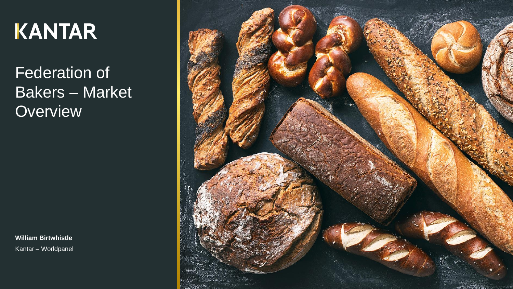# **KANTAR**

Federation of Bakers – Market **Overview** 

**William Birtwhistle** Kantar – Worldpanel

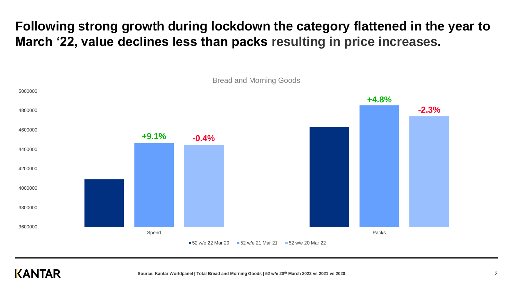## **Following strong growth during lockdown the category flattened in the year to March '22, value declines less than packs resulting in price increases.**



**KANTAR**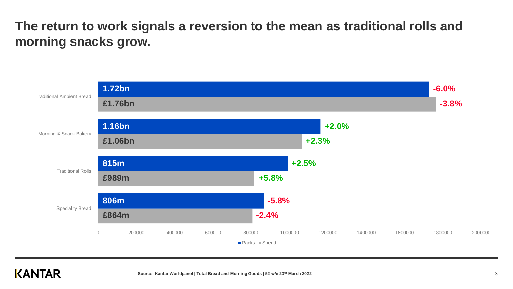**The return to work signals a reversion to the mean as traditional rolls and morning snacks grow.** 



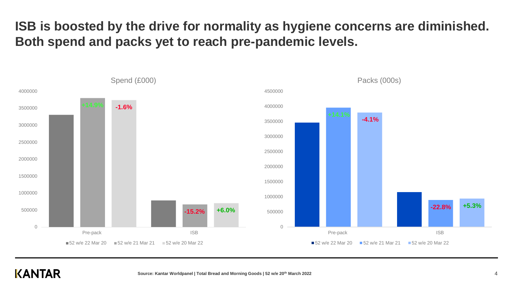**ISB is boosted by the drive for normality as hygiene concerns are diminished. Both spend and packs yet to reach pre-pandemic levels.**



#### **KANTAR**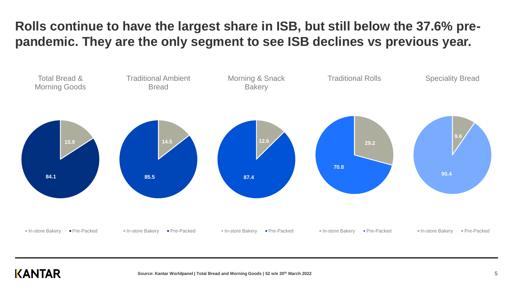## **Rolls continue to have the largest share in ISB, but still below the 37.6% prepandemic. They are the only segment to see ISB declines vs previous year.**



#### KANTAR